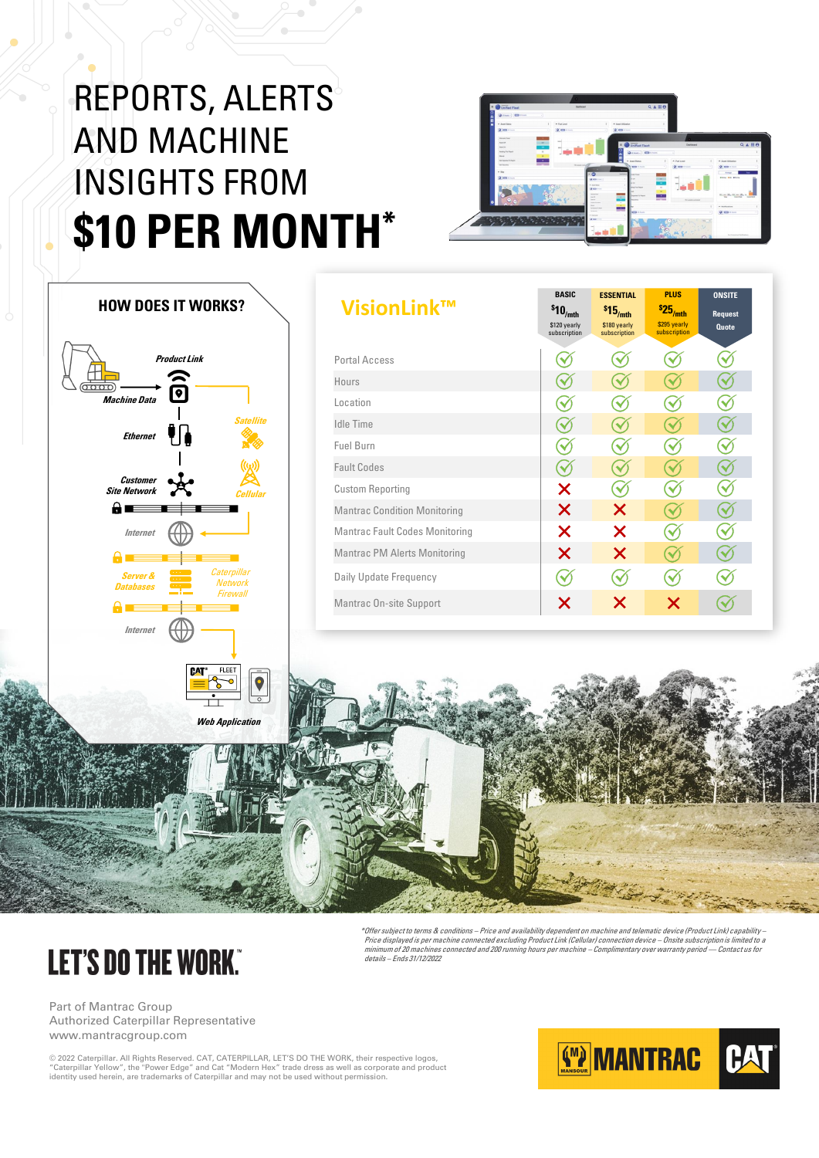Part of Mantrac Group Authorized Caterpillar Representative www.mantracgroup.com

© 2022 Caterpillar. All Rights Reserved. CAT, CATERPILLAR, LET'S DO THE WORK, their respective logos, "Caterpillar Yellow", the "Power Edge" and Cat "Modern Hex" trade dress as well as corporate and product identity used herein, are trademarks of Caterpillar and may not be used without permission.



## REPORTS, ALERTS AND MACHINE INSIGHTS FROM **\$10 PER MONTH\***



| VisionLink™                           | <b>BASIC</b><br>$$10$ <sub>/mth</sub><br>\$120 yearly<br>subscription | <b>ESSENTIAL</b><br>$$15$ <sub>/mth</sub><br>\$180 yearly<br>subscription | <b>PLUS</b><br>$$25/$ mth<br>\$295 yearly<br>subscription | <b>ONSITE</b><br><b>Request</b><br><b>Quote</b> |  |
|---------------------------------------|-----------------------------------------------------------------------|---------------------------------------------------------------------------|-----------------------------------------------------------|-------------------------------------------------|--|
| <b>Portal Access</b>                  |                                                                       |                                                                           |                                                           |                                                 |  |
| Hours                                 |                                                                       |                                                                           |                                                           |                                                 |  |
| Location                              |                                                                       |                                                                           |                                                           |                                                 |  |
| <b>Idle Time</b>                      |                                                                       |                                                                           |                                                           |                                                 |  |
| Fuel Burn                             |                                                                       |                                                                           |                                                           |                                                 |  |
| <b>Fault Codes</b>                    |                                                                       |                                                                           |                                                           |                                                 |  |
| <b>Custom Reporting</b>               | X                                                                     |                                                                           |                                                           |                                                 |  |
| <b>Mantrac Condition Monitoring</b>   | X                                                                     | X                                                                         |                                                           |                                                 |  |
| <b>Mantrac Fault Codes Monitoring</b> | X                                                                     | X                                                                         |                                                           |                                                 |  |
| <b>Mantrac PM Alerts Monitoring</b>   | X                                                                     | X                                                                         |                                                           |                                                 |  |
| <b>Daily Update Frequency</b>         |                                                                       |                                                                           |                                                           |                                                 |  |
| <b>Mantrac On-site Support</b>        | X                                                                     | X                                                                         | X                                                         |                                                 |  |
|                                       |                                                                       |                                                                           |                                                           |                                                 |  |

## **LET'S DO THE WORK."**

| $\overline{\text{0000}}$<br><b>Machine Data</b>          | <b>Product Link</b><br>$\boxed{\bullet}$ |                        |                                           |                         |
|----------------------------------------------------------|------------------------------------------|------------------------|-------------------------------------------|-------------------------|
| <b>Ethernet</b>                                          | Ŷß                                       |                        |                                           | <b>Satellite</b>        |
| <b>Customer</b><br><b>Site Network</b><br>8∎<br>$\equiv$ |                                          |                        |                                           | ((3)<br><b>Cellular</b> |
| <b>Internet</b><br>8                                     |                                          |                        |                                           |                         |
| <b>Server &amp;</b><br><b>Databases</b><br>A             |                                          |                        | Caterpillar<br><b>Network</b><br>Firewall |                         |
| <b>Internet</b>                                          |                                          |                        |                                           |                         |
|                                                          |                                          | <b>CAT<sup>®</sup></b> | <b>FLEET</b>                              |                         |

**HOW DOES IT WORKS?**

\*Offer subject to terms & conditions – Price and availability dependent on machine and telematic device (Product Link) capability – Price displayed is per machine connected excluding Product Link (Cellular) connection device – Onsite subscription is limited to <sup>a</sup> minimum of 20 machines connected and 200 running hours per machine – Complimentary over warranty period –– Contact us for details – Ends 31/12/2022